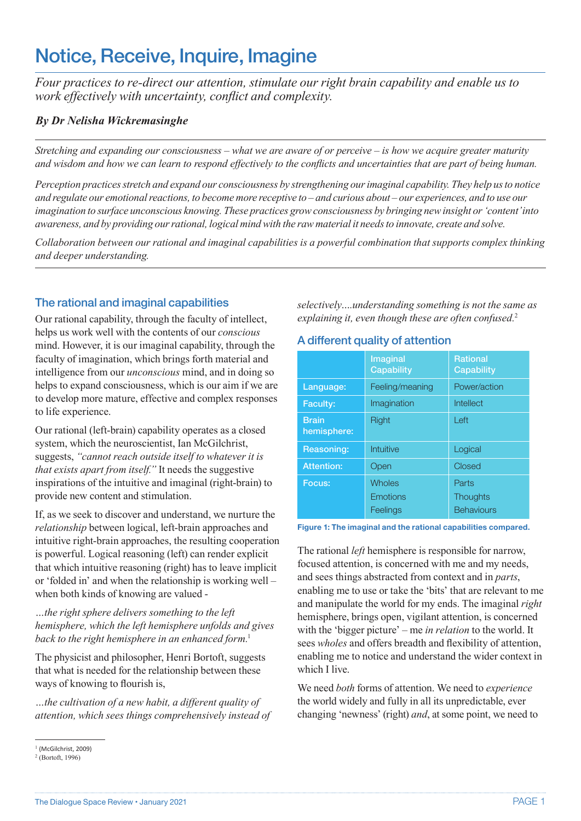#### The Dialogue Space Review • January 2021 **PAGE 1**

# Notice, Receive, Inquire, Imagine

*Four practices to re-direct our attention, stimulate our right brain capability and enable us to work effectively with uncertainty, conflict and complexity.*

### *By Dr Nelisha Wickremasinghe*

*Stretching and expanding our consciousness – what we are aware of or perceive – is how we acquire greater maturity and wisdom and how we can learn to respond effectively to the conflicts and uncertainties that are part of being human.* 

*Perception practices stretch and expand our consciousness by strengthening our imaginal capability. They help us to notice and regulate our emotional reactions, to become more receptive to – and curious about – our experiences, and to use our imagination to surface unconscious knowing. These practices grow consciousness by bringing new insight or 'content' into awareness, and by providing our rational, logical mind with the raw material it needs to innovate, create and solve.* 

*Collaboration between our rational and imaginal capabilities is a powerful combination that supports complex thinking and deeper understanding.*

# The rational and imaginal capabilities

Our rational capability, through the faculty of intellect, helps us work well with the contents of our *conscious* mind. However, it is our imaginal capability, through the faculty of imagination, which brings forth material and intelligence from our *unconscious* mind, and in doing so helps to expand consciousness, which is our aim if we are to develop more mature, effective and complex responses to life experience.

Our rational (left-brain) capability operates as a closed system, which the neuroscientist, Ian McGilchrist, suggests, *"cannot reach outside itself to whatever it is that exists apart from itself."* It needs the suggestive inspirations of the intuitive and imaginal (right-brain) to provide new content and stimulation.

If, as we seek to discover and understand, we nurture the *relationship* between logical, left-brain approaches and intuitive right-brain approaches, the resulting cooperation is powerful. Logical reasoning (left) can render explicit that which intuitive reasoning (right) has to leave implicit or 'folded in' and when the relationship is working well – when both kinds of knowing are valued -

#### *…the right sphere delivers something to the left hemisphere, which the left hemisphere unfolds and gives back to the right hemisphere in an enhanced form.*<sup>1</sup>

The physicist and philosopher, Henri Bortoft, suggests that what is needed for the relationship between these ways of knowing to flourish is,

*…the cultivation of a new habit, a different quality of attention, which sees things comprehensively instead of*  *selectively….understanding something is not the same as explaining it, even though these are often confused.*<sup>2</sup>

### A different quality of attention

|                             | Imaginal<br>Capability | <b>Rational</b><br>Capability |
|-----------------------------|------------------------|-------------------------------|
| Language:                   | Feeling/meaning        | Power/action                  |
| <b>Faculty:</b>             | Imagination            | Intellect                     |
| <b>Brain</b><br>hemisphere: | <b>Right</b>           | Left                          |
| Reasoning:                  | Intuitive              | Logical                       |
| <b>Attention:</b>           | Open                   | Closed                        |
| Focus:                      | <b>Wholes</b>          | Parts                         |
|                             | <b>Emotions</b>        | <b>Thoughts</b>               |
|                             | Feelings               | <b>Behaviours</b>             |

**Figure 1: The imaginal and the rational capabilities compared.**

The rational *left* hemisphere is responsible for narrow, focused attention, is concerned with me and my needs, and sees things abstracted from context and in *parts*, enabling me to use or take the 'bits' that are relevant to me and manipulate the world for my ends. The imaginal *right* hemisphere, brings open, vigilant attention, is concerned with the 'bigger picture' – me *in relation* to the world. It sees *wholes* and offers breadth and flexibility of attention, enabling me to notice and understand the wider context in which I live.

We need *both* forms of attention. We need to *experience* the world widely and fully in all its unpredictable, ever changing 'newness' (right) *and*, at some point, we need to

<sup>&</sup>lt;sup>1</sup> (McGilchrist, 2009)

<sup>2</sup> (Bortoft, 1996)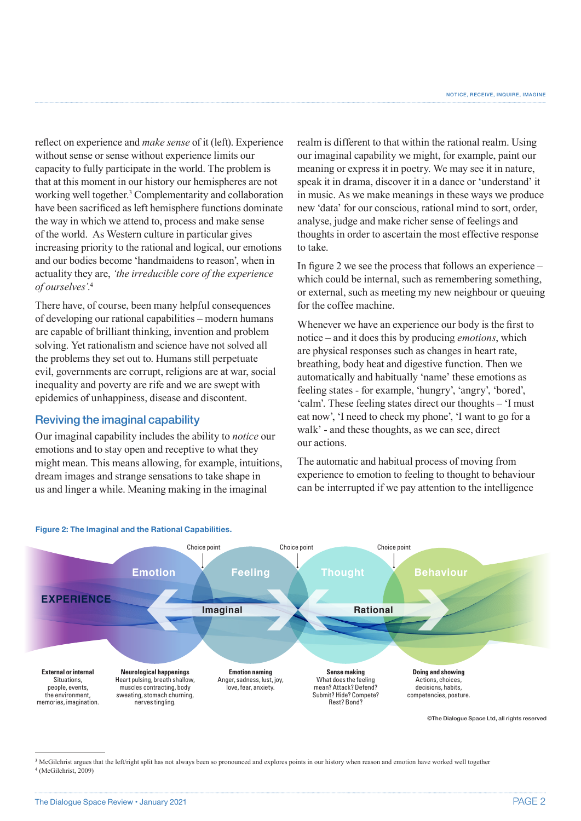reflect on experience and *make sense* of it (left). Experience without sense or sense without experience limits our capacity to fully participate in the world. The problem is that at this moment in our history our hemispheres are not working well together.<sup>3</sup> Complementarity and collaboration have been sacrificed as left hemisphere functions dominate the way in which we attend to, process and make sense of the world. As Western culture in particular gives increasing priority to the rational and logical, our emotions and our bodies become 'handmaidens to reason', when in actuality they are, *'the irreducible core of the experience of ourselves'*. 4

There have, of course, been many helpful consequences of developing our rational capabilities – modern humans are capable of brilliant thinking, invention and problem solving. Yet rationalism and science have not solved all the problems they set out to. Humans still perpetuate evil, governments are corrupt, religions are at war, social inequality and poverty are rife and we are swept with epidemics of unhappiness, disease and discontent.

# Reviving the imaginal capability

**Figure 2: The Imaginal and the Rational Capabilities.**

Our imaginal capability includes the ability to *notice* our emotions and to stay open and receptive to what they might mean. This means allowing, for example, intuitions, dream images and strange sensations to take shape in us and linger a while. Meaning making in the imaginal

realm is different to that within the rational realm. Using our imaginal capability we might, for example, paint our meaning or express it in poetry. We may see it in nature, speak it in drama, discover it in a dance or 'understand' it in music. As we make meanings in these ways we produce new 'data' for our conscious, rational mind to sort, order, analyse, judge and make richer sense of feelings and thoughts in order to ascertain the most effective response to take.

In figure 2 we see the process that follows an experience – which could be internal, such as remembering something, or external, such as meeting my new neighbour or queuing for the coffee machine.

Whenever we have an experience our body is the first to notice – and it does this by producing *emotions*, which are physical responses such as changes in heart rate, breathing, body heat and digestive function. Then we automatically and habitually 'name' these emotions as feeling states - for example, 'hungry', 'angry', 'bored', 'calm'. These feeling states direct our thoughts – 'I must eat now', 'I need to check my phone', 'I want to go for a walk' - and these thoughts, as we can see, direct our actions.

The automatic and habitual process of moving from experience to emotion to feeling to thought to behaviour can be interrupted if we pay attention to the intelligence



©The Dialogue Space Ltd, all rights reserved

<sup>&</sup>lt;sup>3</sup> McGilchrist argues that the left/right split has not always been so pronounced and explores points in our history when reason and emotion have worked well together 4 (McGilchrist, 2009)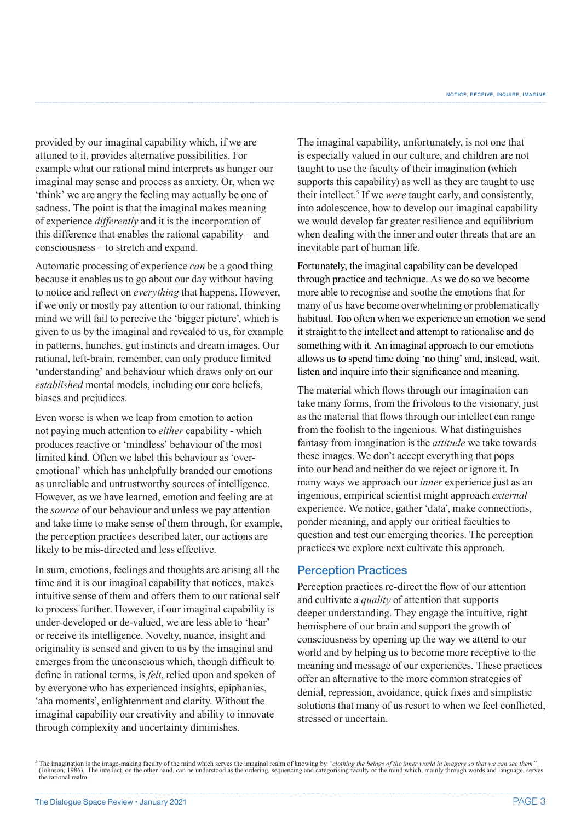provided by our imaginal capability which, if we are attuned to it, provides alternative possibilities. For example what our rational mind interprets as hunger our imaginal may sense and process as anxiety. Or, when we 'think' we are angry the feeling may actually be one of sadness. The point is that the imaginal makes meaning of experience *differently* and it is the incorporation of this difference that enables the rational capability – and consciousness – to stretch and expand.

Automatic processing of experience *can* be a good thing because it enables us to go about our day without having to notice and reflect on *everything* that happens. However, if we only or mostly pay attention to our rational, thinking mind we will fail to perceive the 'bigger picture', which is given to us by the imaginal and revealed to us, for example in patterns, hunches, gut instincts and dream images. Our rational, left-brain, remember, can only produce limited 'understanding' and behaviour which draws only on our *established* mental models, including our core beliefs, biases and prejudices.

Even worse is when we leap from emotion to action not paying much attention to *either* capability - which produces reactive or 'mindless' behaviour of the most limited kind. Often we label this behaviour as 'overemotional' which has unhelpfully branded our emotions as unreliable and untrustworthy sources of intelligence. However, as we have learned, emotion and feeling are at the *source* of our behaviour and unless we pay attention and take time to make sense of them through, for example, the perception practices described later, our actions are likely to be mis-directed and less effective.

In sum, emotions, feelings and thoughts are arising all the time and it is our imaginal capability that notices, makes intuitive sense of them and offers them to our rational self to process further. However, if our imaginal capability is under-developed or de-valued, we are less able to 'hear' or receive its intelligence. Novelty, nuance, insight and originality is sensed and given to us by the imaginal and emerges from the unconscious which, though difficult to define in rational terms, is *felt*, relied upon and spoken of by everyone who has experienced insights, epiphanies, 'aha moments', enlightenment and clarity. Without the imaginal capability our creativity and ability to innovate through complexity and uncertainty diminishes.

The imaginal capability, unfortunately, is not one that is especially valued in our culture, and children are not taught to use the faculty of their imagination (which supports this capability) as well as they are taught to use their intellect.<sup>5</sup> If we *were* taught early, and consistently, into adolescence, how to develop our imaginal capability we would develop far greater resilience and equilibrium when dealing with the inner and outer threats that are an inevitable part of human life.

Fortunately, the imaginal capability can be developed through practice and technique. As we do so we become more able to recognise and soothe the emotions that for many of us have become overwhelming or problematically habitual. Too often when we experience an emotion we send it straight to the intellect and attempt to rationalise and do something with it. An imaginal approach to our emotions allows us to spend time doing 'no thing' and, instead, wait, listen and inquire into their significance and meaning.

The material which flows through our imagination can take many forms, from the frivolous to the visionary, just as the material that flows through our intellect can range from the foolish to the ingenious. What distinguishes fantasy from imagination is the *attitude* we take towards these images. We don't accept everything that pops into our head and neither do we reject or ignore it. In many ways we approach our *inner* experience just as an ingenious, empirical scientist might approach *external*  experience. We notice, gather 'data', make connections, ponder meaning, and apply our critical faculties to question and test our emerging theories. The perception practices we explore next cultivate this approach.

#### Perception Practices

Perception practices re-direct the flow of our attention and cultivate a *quality* of attention that supports deeper understanding. They engage the intuitive, right hemisphere of our brain and support the growth of consciousness by opening up the way we attend to our world and by helping us to become more receptive to the meaning and message of our experiences. These practices offer an alternative to the more common strategies of denial, repression, avoidance, quick fixes and simplistic solutions that many of us resort to when we feel conflicted, stressed or uncertain.

<sup>&</sup>lt;sup>5</sup> The imagination is the image-making faculty of the mind which serves the imaginal realm of knowing by *"clothing the beings of the inner world in imagery so that we can see them* (Johnson, 1986). The intellect, on the other hand, can be understood as the ordering, sequencing and categorising faculty of the mind which, mainly through words and language, serves the rational realm.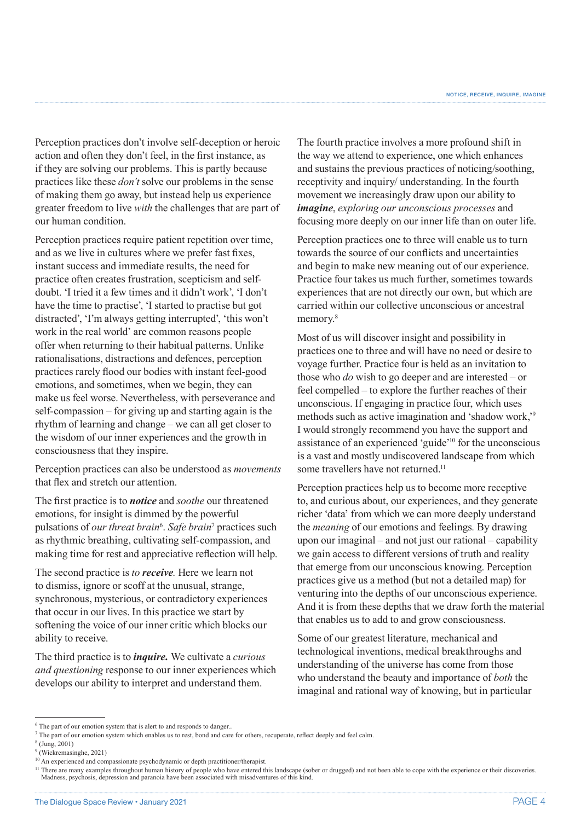Perception practices don't involve self-deception or heroic action and often they don't feel, in the first instance, as if they are solving our problems. This is partly because practices like these *don't* solve our problems in the sense of making them go away, but instead help us experience greater freedom to live *with* the challenges that are part of our human condition.

Perception practices require patient repetition over time, and as we live in cultures where we prefer fast fixes, instant success and immediate results, the need for practice often creates frustration, scepticism and selfdoubt. 'I tried it a few times and it didn't work', 'I don't have the time to practise', 'I started to practise but got distracted', 'I'm always getting interrupted', 'this won't work in the real world' are common reasons people offer when returning to their habitual patterns. Unlike rationalisations, distractions and defences, perception practices rarely flood our bodies with instant feel-good emotions, and sometimes, when we begin, they can make us feel worse. Nevertheless, with perseverance and self-compassion – for giving up and starting again is the rhythm of learning and change – we can all get closer to the wisdom of our inner experiences and the growth in consciousness that they inspire.

Perception practices can also be understood as *movements* that flex and stretch our attention.

The first practice is to *notice* and *soothe* our threatened emotions, for insight is dimmed by the powerful pulsations of *our threat brain*<sup>6</sup> . *Safe brain*<sup>7</sup> practices such as rhythmic breathing, cultivating self-compassion, and making time for rest and appreciative reflection will help.

The second practice is *to receive.* Here we learn not to dismiss, ignore or scoff at the unusual, strange, synchronous, mysterious, or contradictory experiences that occur in our lives. In this practice we start by softening the voice of our inner critic which blocks our ability to receive.

The third practice is to *inquire.* We cultivate a *curious and questioning* response to our inner experiences which develops our ability to interpret and understand them.

The fourth practice involves a more profound shift in the way we attend to experience, one which enhances and sustains the previous practices of noticing/soothing, receptivity and inquiry/ understanding. In the fourth movement we increasingly draw upon our ability to *imagine*, *exploring our unconscious processes* and focusing more deeply on our inner life than on outer life.

Perception practices one to three will enable us to turn towards the source of our conflicts and uncertainties and begin to make new meaning out of our experience. Practice four takes us much further, sometimes towards experiences that are not directly our own, but which are carried within our collective unconscious or ancestral memory.<sup>8</sup>

Most of us will discover insight and possibility in practices one to three and will have no need or desire to voyage further. Practice four is held as an invitation to those who *do* wish to go deeper and are interested – or feel compelled – to explore the further reaches of their unconscious. If engaging in practice four, which uses methods such as active imagination and 'shadow work,'9 I would strongly recommend you have the support and assistance of an experienced 'guide'10 for the unconscious is a vast and mostly undiscovered landscape from which some travellers have not returned.<sup>11</sup>

Perception practices help us to become more receptive to, and curious about, our experiences, and they generate richer 'data' from which we can more deeply understand the *meaning* of our emotions and feelings*.* By drawing upon our imaginal – and not just our rational – capability we gain access to different versions of truth and reality that emerge from our unconscious knowing. Perception practices give us a method (but not a detailed map) for venturing into the depths of our unconscious experience. And it is from these depths that we draw forth the material that enables us to add to and grow consciousness.

Some of our greatest literature, mechanical and technological inventions, medical breakthroughs and understanding of the universe has come from those who understand the beauty and importance of *both* the imaginal and rational way of knowing, but in particular

<sup>&</sup>lt;sup>6</sup> The part of our emotion system that is alert to and responds to danger..

<sup>&</sup>lt;sup>7</sup> The part of our emotion system which enables us to rest, bond and care for others, recuperate, reflect deeply and feel calm.

<sup>8</sup> (Jung, 2001)

<sup>9</sup> (Wickremasinghe, 2021)

<sup>&</sup>lt;sup>10</sup> An experienced and compassionate psychodynamic or depth practitioner/therapist.

There are many examples throughout human history of people who have entered this landscape (sober or drugged) and not been able to cope with the experience or their discoveries.<br>Madness, psychosis, depression and paranoia